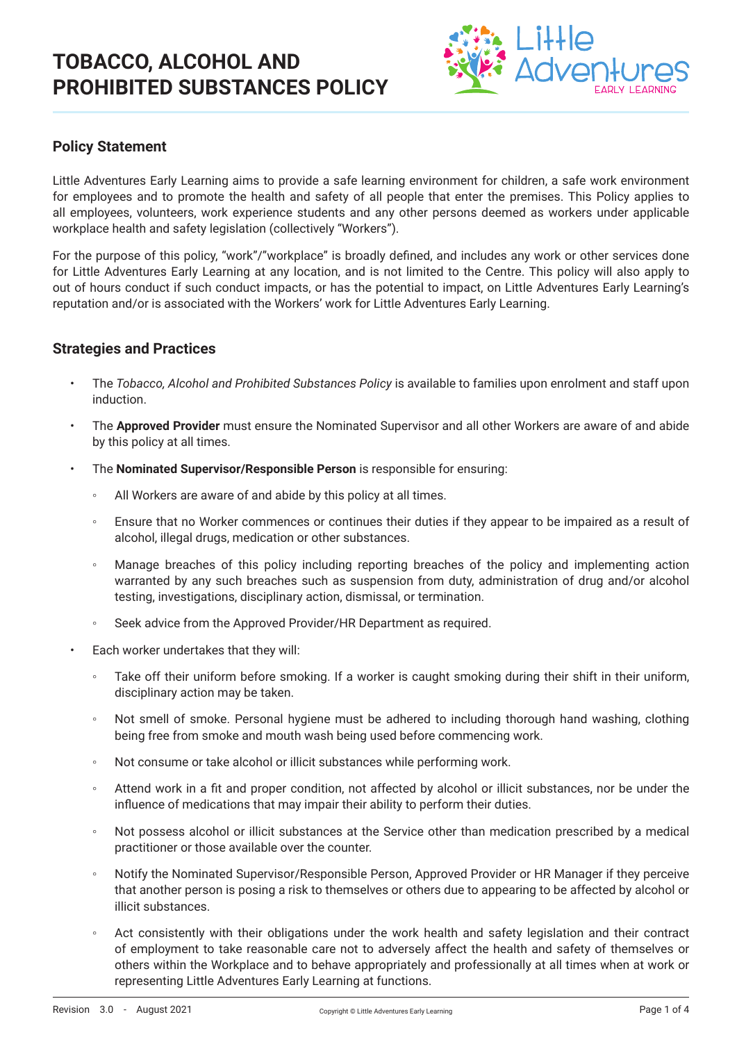

## **Policy Statement**

Little Adventures Early Learning aims to provide a safe learning environment for children, a safe work environment for employees and to promote the health and safety of all people that enter the premises. This Policy applies to all employees, volunteers, work experience students and any other persons deemed as workers under applicable workplace health and safety legislation (collectively "Workers").

For the purpose of this policy, "work"/"workplace" is broadly defined, and includes any work or other services done for Little Adventures Early Learning at any location, and is not limited to the Centre. This policy will also apply to out of hours conduct if such conduct impacts, or has the potential to impact, on Little Adventures Early Learning's reputation and/or is associated with the Workers' work for Little Adventures Early Learning.

### **Strategies and Practices**

- The *Tobacco, Alcohol and Prohibited Substances Policy* is available to families upon enrolment and staff upon induction.
- The **Approved Provider** must ensure the Nominated Supervisor and all other Workers are aware of and abide by this policy at all times.
- The **Nominated Supervisor/Responsible Person** is responsible for ensuring:
	- All Workers are aware of and abide by this policy at all times.
	- Ensure that no Worker commences or continues their duties if they appear to be impaired as a result of alcohol, illegal drugs, medication or other substances.
	- Manage breaches of this policy including reporting breaches of the policy and implementing action warranted by any such breaches such as suspension from duty, administration of drug and/or alcohol testing, investigations, disciplinary action, dismissal, or termination.
	- Seek advice from the Approved Provider/HR Department as required.
- Each worker undertakes that they will:
	- Take off their uniform before smoking. If a worker is caught smoking during their shift in their uniform, disciplinary action may be taken.
	- Not smell of smoke. Personal hygiene must be adhered to including thorough hand washing, clothing being free from smoke and mouth wash being used before commencing work.
	- Not consume or take alcohol or illicit substances while performing work.
	- Attend work in a fit and proper condition, not affected by alcohol or illicit substances, nor be under the influence of medications that may impair their ability to perform their duties.
	- Not possess alcohol or illicit substances at the Service other than medication prescribed by a medical practitioner or those available over the counter.
	- Notify the Nominated Supervisor/Responsible Person, Approved Provider or HR Manager if they perceive that another person is posing a risk to themselves or others due to appearing to be affected by alcohol or illicit substances.
	- Act consistently with their obligations under the work health and safety legislation and their contract of employment to take reasonable care not to adversely affect the health and safety of themselves or others within the Workplace and to behave appropriately and professionally at all times when at work or representing Little Adventures Early Learning at functions.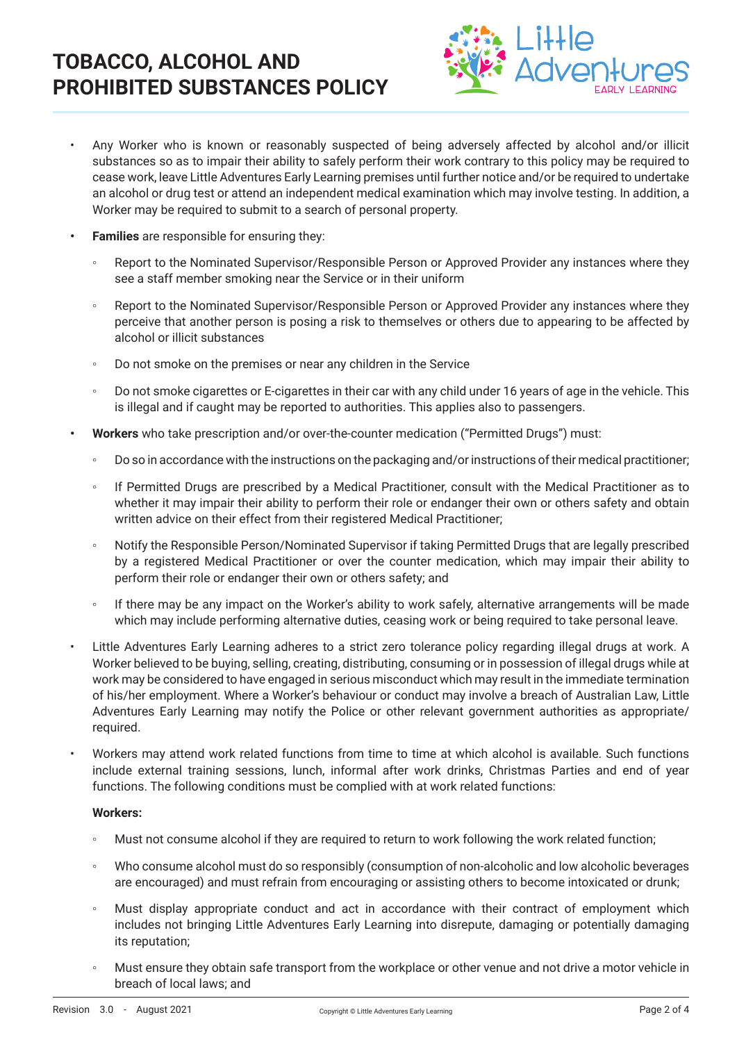

- Any Worker who is known or reasonably suspected of being adversely affected by alcohol and/or illicit substances so as to impair their ability to safely perform their work contrary to this policy may be required to cease work, leave Little Adventures Early Learning premises until further notice and/or be required to undertake an alcohol or drug test or attend an independent medical examination which may involve testing. In addition, a Worker may be required to submit to a search of personal property.
- **• Families** are responsible for ensuring they:
	- Report to the Nominated Supervisor/Responsible Person or Approved Provider any instances where they see a staff member smoking near the Service or in their uniform
	- Report to the Nominated Supervisor/Responsible Person or Approved Provider any instances where they perceive that another person is posing a risk to themselves or others due to appearing to be affected by alcohol or illicit substances
	- Do not smoke on the premises or near any children in the Service
	- Do not smoke cigarettes or E-cigarettes in their car with any child under 16 years of age in the vehicle. This is illegal and if caught may be reported to authorities. This applies also to passengers.
- **• Workers** who take prescription and/or over-the-counter medication ("Permitted Drugs") must:
	- Do so in accordance with the instructions on the packaging and/or instructions of their medical practitioner;
	- If Permitted Drugs are prescribed by a Medical Practitioner, consult with the Medical Practitioner as to whether it may impair their ability to perform their role or endanger their own or others safety and obtain written advice on their effect from their registered Medical Practitioner;
	- Notify the Responsible Person/Nominated Supervisor if taking Permitted Drugs that are legally prescribed by a registered Medical Practitioner or over the counter medication, which may impair their ability to perform their role or endanger their own or others safety; and
	- If there may be any impact on the Worker's ability to work safely, alternative arrangements will be made which may include performing alternative duties, ceasing work or being required to take personal leave.
- Little Adventures Early Learning adheres to a strict zero tolerance policy regarding illegal drugs at work. A Worker believed to be buying, selling, creating, distributing, consuming or in possession of illegal drugs while at work may be considered to have engaged in serious misconduct which may result in the immediate termination of his/her employment. Where a Worker's behaviour or conduct may involve a breach of Australian Law, Little Adventures Early Learning may notify the Police or other relevant government authorities as appropriate/ required.
- Workers may attend work related functions from time to time at which alcohol is available. Such functions include external training sessions, lunch, informal after work drinks, Christmas Parties and end of year functions. The following conditions must be complied with at work related functions:

#### **Workers:**

- Must not consume alcohol if they are required to return to work following the work related function;
- Who consume alcohol must do so responsibly (consumption of non-alcoholic and low alcoholic beverages are encouraged) and must refrain from encouraging or assisting others to become intoxicated or drunk;
- Must display appropriate conduct and act in accordance with their contract of employment which includes not bringing Little Adventures Early Learning into disrepute, damaging or potentially damaging its reputation;
- Must ensure they obtain safe transport from the workplace or other venue and not drive a motor vehicle in breach of local laws; and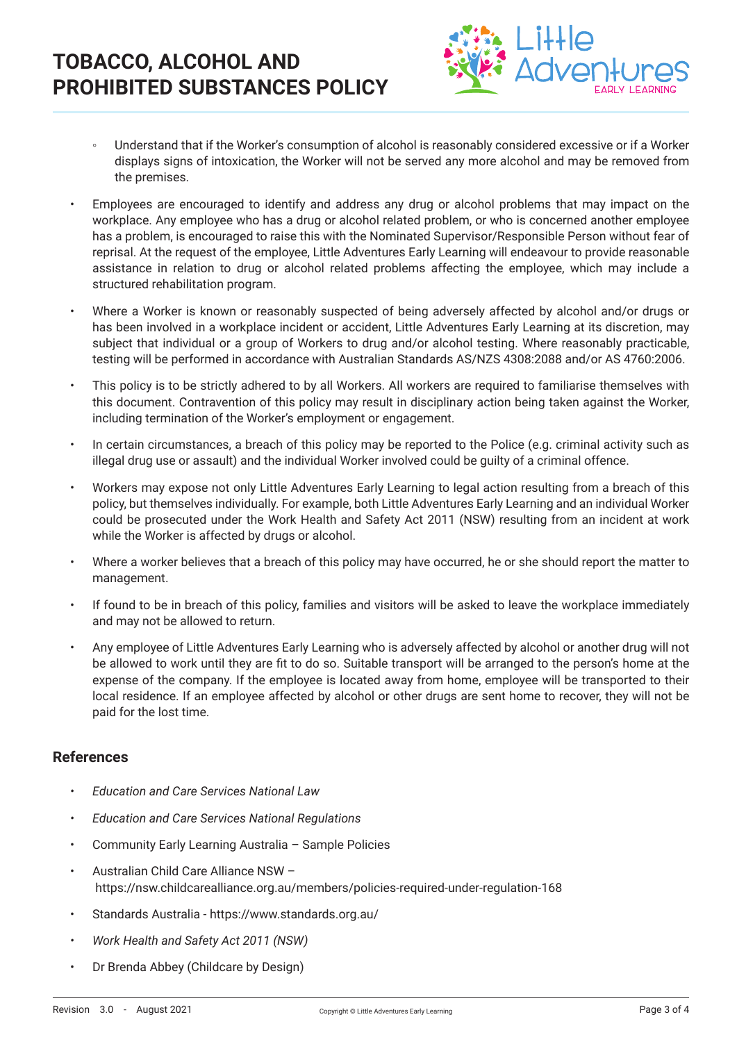

- Understand that if the Worker's consumption of alcohol is reasonably considered excessive or if a Worker displays signs of intoxication, the Worker will not be served any more alcohol and may be removed from the premises.
- Employees are encouraged to identify and address any drug or alcohol problems that may impact on the workplace. Any employee who has a drug or alcohol related problem, or who is concerned another employee has a problem, is encouraged to raise this with the Nominated Supervisor/Responsible Person without fear of reprisal. At the request of the employee, Little Adventures Early Learning will endeavour to provide reasonable assistance in relation to drug or alcohol related problems affecting the employee, which may include a structured rehabilitation program.
- Where a Worker is known or reasonably suspected of being adversely affected by alcohol and/or drugs or has been involved in a workplace incident or accident, Little Adventures Early Learning at its discretion, may subject that individual or a group of Workers to drug and/or alcohol testing. Where reasonably practicable, testing will be performed in accordance with Australian Standards AS/NZS 4308:2088 and/or AS 4760:2006.
- This policy is to be strictly adhered to by all Workers. All workers are required to familiarise themselves with this document. Contravention of this policy may result in disciplinary action being taken against the Worker, including termination of the Worker's employment or engagement.
- In certain circumstances, a breach of this policy may be reported to the Police (e.g. criminal activity such as illegal drug use or assault) and the individual Worker involved could be guilty of a criminal offence.
- Workers may expose not only Little Adventures Early Learning to legal action resulting from a breach of this policy, but themselves individually. For example, both Little Adventures Early Learning and an individual Worker could be prosecuted under the Work Health and Safety Act 2011 (NSW) resulting from an incident at work while the Worker is affected by drugs or alcohol.
- Where a worker believes that a breach of this policy may have occurred, he or she should report the matter to management.
- If found to be in breach of this policy, families and visitors will be asked to leave the workplace immediately and may not be allowed to return.
- Any employee of Little Adventures Early Learning who is adversely affected by alcohol or another drug will not be allowed to work until they are fit to do so. Suitable transport will be arranged to the person's home at the expense of the company. If the employee is located away from home, employee will be transported to their local residence. If an employee affected by alcohol or other drugs are sent home to recover, they will not be paid for the lost time.

## **References**

- *• Education and Care Services National Law*
- *• Education and Care Services National Regulations*
- Community Early Learning Australia Sample Policies
- Australian Child Care Alliance NSW https://nsw.childcarealliance.org.au/members/policies-required-under-regulation-168
- Standards Australia https://www.standards.org.au/
- *• Work Health and Safety Act 2011 (NSW)*
- Dr Brenda Abbey (Childcare by Design)